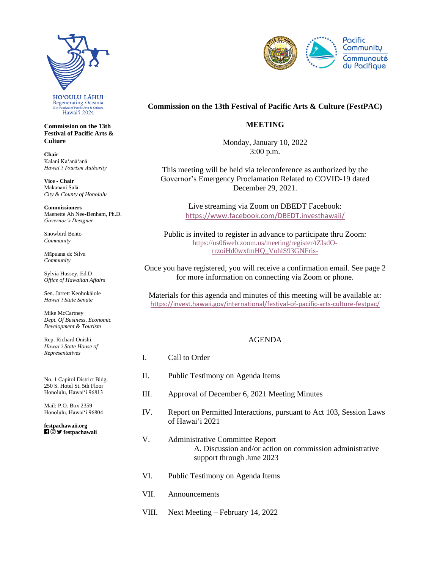

**Commission on the 13th Festival of Pacific Arts & Culture**

**Chair** Kalani Kaʻanāʻanā *Hawaiʻi Tourism Authority*

**Vice - Chair** Makanani Salā *City & County of Honolulu*

**Commissioners** Maenette Ah Nee-Benham, Ph.D. *Governor's Designee*

Snowbird Bento *Community*

Māpuana de Silva *Community*

Sylvia Hussey, Ed.D *Office of Hawaiian Affairs*

Sen. Jarrett Keohokālole *Hawaiʻi State Senate*

Mike McCartney *Dept. Of Business, Economic Development & Tourism*

Rep. Richard Onishi *Hawai'i State House of Representatives*

No. 1 Capitol District Bldg. 250 S. Hotel St. 5th Floor Honolulu, Hawaiʻi 96813

Mail: P.O. Box 2359 Honolulu, Hawaiʻi 96804

**festpachawaii.org fi** © **y** festpachawaii



## **Commission on the 13th Festival of Pacific Arts & Culture (FestPAC)**

## **MEETING**

Monday, January 10, 2022 3:00 p.m.

This meeting will be held via teleconference as authorized by the Governor's Emergency Proclamation Related to COVID-19 dated December 29, 2021.

> Live streaming via Zoom on DBEDT Facebook: <https://www.facebook.com/DBEDT.investhawaii/>

Public is invited to register in advance to participate thru Zoom: [https://us06web.zoom.us/meeting/register/tZIsdO](https://us06web.zoom.us/meeting/register/tZIsdO-rrzoiHd0wxfmHQ_VohlS93GNFris-)[rrzoiHd0wxfmHQ\\_VohlS93GNFris-](https://us06web.zoom.us/meeting/register/tZIsdO-rrzoiHd0wxfmHQ_VohlS93GNFris-)

Once you have registered, you will receive a confirmation email. See page 2 for more information on connecting via Zoom or phone.

Materials for this agenda and minutes of this meeting will be available at: <https://invest.hawaii.gov/international/festival-of-pacific-arts-culture-festpac/>

## AGENDA

I. Call to Order II. Public Testimony on Agenda Items III. Approval of December 6, 2021 Meeting Minutes IV. Report on Permitted Interactions, pursuant to Act 103, Session Laws of Hawaiʻi 2021 V. Administrative Committee Report A. Discussion and/or action on commission administrative support through June 2023 VI. Public Testimony on Agenda Items VII. Announcements VIII. Next Meeting – February 14, 2022